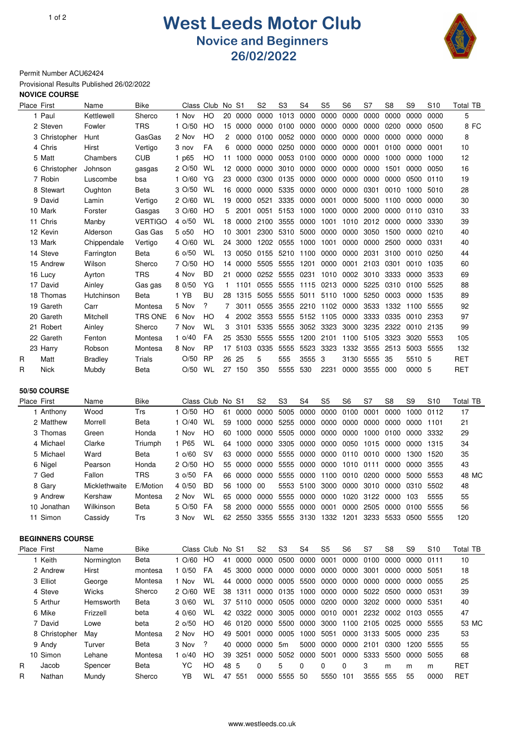## 10f2 **West Leeds Motor Club Novice and Beginners 26/02/2022**



Permit Number ACU62424

Provisional Results Published 26/02/2022

## **NOVICE COURSE**

|   | Place First             | Name               | Bike           | Class                         | Club      | No.   | S1                 | S2             | S3             | S4                  | S5                                                   | S6             | S7   | S8             | S9                                                   | <b>S10</b>      | Total TB              |
|---|-------------------------|--------------------|----------------|-------------------------------|-----------|-------|--------------------|----------------|----------------|---------------------|------------------------------------------------------|----------------|------|----------------|------------------------------------------------------|-----------------|-----------------------|
|   | 1 Paul                  | Kettlewell         | Sherco         | 1 Nov                         | HO        | 20    | 0000               | 0000           | 1013           | 0000                | 0000                                                 | 0000           | 0000 | 0000           | 0000                                                 | 0000            | 5                     |
|   | 2 Steven                | Fowler             | <b>TRS</b>     | $1 \frac{O}{50}$              | HO        | 15    | 0000               | 0000           | 0100           | 0000                | 0000                                                 | 0000           | 0000 | 0200           | 0000                                                 | 0500            | 8 FC                  |
|   | 3 Christopher           | Hunt               | GasGas         | 2 Nov                         | HO        | 2     | 0000               | 0100           | 0052           | 0000                | 0000                                                 | 0000           | 0000 | 0000           | 0000                                                 | 0000            | 8                     |
|   | 4 Chris                 | Hirst              | Vertigo        | 3 nov                         | FA        | 6     | 0000               | 0000           | 0250           | 0000                | 0000                                                 | 0000           | 0001 | 0100           | 0000                                                 | 0001            | 10                    |
|   | 5 Matt                  | Chambers           | CUB            | 1 p65                         | HO        | 11    | 1000               | 0000           | 0053           | 0100                | 0000                                                 | 0000           | 0000 | 1000           | 0000                                                 | 1000            | 12                    |
|   | 6 Christopher           | Johnson            | gasgas         | 2 O/50                        | WL        | 12    | 0000               | 0000           | 3010           | 0000                | 0000                                                 | 0000           | 0000 | 1501           | 0000                                                 | 0050            | 16                    |
|   | 7 Robin                 | Luscombe           | bsa            | $1 \frac{O}{60}$              | YG        | 23    | 0000               | 0300           | 0135           | 0000                | 0000                                                 | 0000           | 0000 | 0000           | 0500                                                 | 0110            | 19                    |
|   | 8 Stewart               | Oughton            | Beta           | 3 O/50                        | WL        | 16    | 0000               | 0000           | 5335           | 0000                | 0000                                                 | 0000           | 0301 | 0010           | 1000                                                 | 5010            | 28                    |
|   | 9 David                 | Lamin              | Vertigo        | $2$ O/60                      | WL        | 19    | 0000               | 0521           | 3335           | 0000                | 0001                                                 | 0000           | 5000 | 1100           | 0000                                                 | 0000            | 30                    |
|   | 10 Mark                 | Forster            | Gasgas         | $3 \frac{0}{60}$              | HO        | 5     | 2001               | 0051           | 5153           | 1000                | 1000                                                 | 0000           | 2000 | 0000           | 0110                                                 | 0310            | 33                    |
|   | 11 Chris                | Manby              | <b>VERTIGO</b> | 4 o/50                        | WL        | 18    | 0000               | 2100           | 3555           | 0000                | 1001                                                 | 1010           | 2012 | 0000           | 0000                                                 | 3330            | 39                    |
|   | 12 Kevin                | Alderson           | Gas Gas        | 5 050                         | HO        | 10    | 3001               | 2300           | 5310           | 5000                | 0000                                                 | 0000           | 3050 | 1500           | 0000                                                 | 0210            | 40                    |
|   | 13 Mark                 | Chippendale        | Vertigo        | 4 O/60                        | WL        | 24    | 3000               | 1202           | 0555           | 1000                | 1001                                                 | 0000           | 0000 | 2500           | 0000                                                 | 0331            | 40                    |
|   | 14 Steve                | Farrington         | Beta           | 60/50                         | WL        | 13    | 0050               | 0155           | 5210           | 1100                | 0000                                                 | 0000           | 2031 | 3100           | 0010                                                 | 0250            | 44                    |
|   | 15 Andrew               | Wilson             | Sherco         | 7 O/50                        | HO        | 14    | 0000               | 5505           | 5555           | 1201                | 0000                                                 | 0001           | 2103 | 0301           | 0010                                                 | 1035            | 60                    |
|   | 16 Lucy                 | Ayrton             | TRS            | 4 Nov                         | BD        | 21    | 0000               | 0252           | 5555           | 0231                | 1010                                                 | 0002           | 3010 | 3333           | 0000                                                 | 3533            | 69                    |
|   | 17 David                | Ainley             | Gas gas        | 8 0/50                        | ΥG        | 1     | 1101               | 0555           | 5555           | 1115                | 0213                                                 | 0000           | 5225 | 0310           | 0100                                                 | 5525            | 88                    |
|   | 18 Thomas               | Hutchinson         | Beta           | 1 YB                          | BU        | 28    | 1315               | 5055           | 5555           | 5011                | 5110                                                 | 1000           | 5250 | 0003           | 0000                                                 | 1535            | 89                    |
|   | 19 Gareth               | Carr               | Montesa        | 5 Nov                         | ?         | 7     | 3011               | 0555           | 3555           | 2210                | 1102                                                 | 0000           | 3533 | 1332           | 1100                                                 | 5555            | 92                    |
|   | 20 Gareth               | Mitchell           | TRS ONE        | 6 Nov                         | HO        | 4     | 2002               | 3553           | 5555           | 5152 1105           |                                                      | 0000           | 3333 | 0335           | 0010                                                 | 2353            | 97                    |
|   | 21 Robert               | Ainley             | Sherco         | 7 Nov                         | WL        | 3     | 3101               | 5335           | 5555           | 3052 3323           |                                                      | 3000           | 3235 | 2322           | 0010                                                 | 2135            | 99                    |
|   | 22 Gareth               | Fenton             | Montesa        | 1 $o/40$                      | FA        | 25    | 3530               | 5555           | 5555           | 1200                | 2101                                                 | 1100           | 5105 | 3323           | 3020                                                 | 5553            | 105                   |
|   | 23 Harry                | Robson             | Montesa        | 8 Nov                         | RP        | 17    | 5103               | 0335           | 5555           | 5523                | 3323                                                 | 1332           | 3555 | 2513           | 5003                                                 | 5555            | 132                   |
| R | Matt                    | Bradley            | <b>Trials</b>  | O/50                          | RP        | 26    | 25                 | 5              | 555            | 3555                | 3                                                    | 3130           | 5555 | 35             | 5510 5                                               |                 | <b>RET</b>            |
| R | Nick                    | Mubdy              | Beta           | O/50                          | WL        | 27    | 150                | 350            | 5555           | 530                 | 2231                                                 | 0000           | 3555 | 000            | 0000 5                                               |                 | <b>RET</b>            |
|   |                         |                    |                |                               |           |       |                    |                |                |                     |                                                      |                |      |                |                                                      |                 |                       |
|   | <b>50/50 COURSE</b>     |                    |                |                               |           |       |                    |                |                |                     |                                                      |                |      |                |                                                      |                 |                       |
|   | Place First             | Name               | Bike           | Class Club                    |           | No S1 |                    | S <sub>2</sub> | S <sub>3</sub> | S <sub>4</sub>      | S <sub>5</sub>                                       | S <sub>6</sub> | S7   | S <sub>8</sub> | S <sub>9</sub>                                       | S <sub>10</sub> | Total TB              |
|   | 1 Anthony               | Wood               | Trs            | $1 \frac{O}{50}$              | HO        | 61    | 0000               | 0000           | 5005           | 0000                | 0000                                                 | 0100           | 0001 | 0000           | 1000                                                 | 0112            | 17                    |
|   | 2 Matthew               | Morrell            | Beta           | 1 $O/40$                      | WL        | 59    | 1000               | 0000           | 5255           | 0000                | 0000                                                 | 0000           | 0000 | 0000           | 0000                                                 | 1101            | 21                    |
|   | 3 Thomas                | Green              | Honda          | 1 Nov                         | HO        | 60    | 1000               | 0000           | 5505           | 0000                | 0000                                                 | 0000           | 1000 | 0100           | 0000                                                 | 3332            | 29                    |
|   | 4 Michael               | Clarke             | Triumph        | 1 P65                         | WL        | 64    | 1000               | 0000           | 3305           | 0000                | 0000                                                 | 0050           | 1015 | 0000           | 0000                                                 | 1315            | 34                    |
|   | 5 Michael               | Ward               | Beta           | 10/60                         | SV        | 63    | 0000               | 0000           | 5555           | 0000                | 0000                                                 | 0110           | 0010 | 0000           | 1300                                                 | 1520            | 35                    |
|   | 6 Nigel                 | Pearson            | Honda          | 2 O/50                        | HO        | 55    | 0000               | 0000           | 5555           | 0000                | 0000                                                 | 1010           | 0111 | 0000           | 0000                                                 | 3555            | 43                    |
|   | 7 Ged                   | Fallon             | <b>TRS</b>     | 30/50                         | FA        | 66    | 0000               | 0000           | 5555           | 0000                | 1100                                                 | 0010           | 0200 | 0000           | 5000                                                 | 5553            | 48 MC                 |
|   | 8 Gary                  | Micklethwaite      | E/Motion       | 4 0/50                        | <b>BD</b> | 56    | 1000               | 00             | 5553           | 5100                | 3000                                                 | 0000           | 3010 | 0000           | 0310                                                 | 5502            | 48                    |
|   | 9 Andrew                | Kershaw            | Montesa        | 2 Nov                         | WL        | 65    | 0000               | 0000           |                | 5555 0000           | 0000 1020                                            |                | 3122 | 0000 103       |                                                      | 5555            | 55                    |
|   | 10 Jonathan             | Wilkinson          | Beta           | 5 O/50 FA                     |           |       |                    |                |                |                     |                                                      |                |      |                | 58 2000 0000 5555 0000 0001 0000 2505 0000 0100 5555 |                 | 56                    |
|   |                         |                    |                |                               |           |       |                    |                |                |                     |                                                      |                |      |                |                                                      |                 |                       |
|   |                         |                    |                |                               |           |       |                    |                |                |                     |                                                      |                |      |                |                                                      |                 |                       |
|   | 11 Simon                | Cassidy            | Trs            | 3 Nov                         | WL        |       |                    |                |                |                     | 62 2550 3355 5555 3130 1332 1201 3233 5533 0500 5555 |                |      |                |                                                      |                 | 120                   |
|   |                         |                    |                |                               |           |       |                    |                |                |                     |                                                      |                |      |                |                                                      |                 |                       |
|   | <b>BEGINNERS COURSE</b> |                    |                |                               |           |       |                    |                |                |                     |                                                      |                |      |                |                                                      |                 |                       |
|   | Place First<br>1 Keith  | Name               | Bike<br>Beta   | Class Club No S1<br>1 0/60 HO |           |       |                    | S2             | S3             | S4                  | S5                                                   | S6             | S7   | S8             | S9<br>0000                                           | S <sub>10</sub> | <b>Total TB</b><br>10 |
|   |                         | Normington         |                |                               | FA        |       | 41 0000            | 0000           | 0500           | 0000                | 0001                                                 | 0000 0100      |      | 0000           |                                                      | 0111            |                       |
|   | 2 Andrew                | Hirst              | montesa        | 10/50                         |           |       | 45 3000            | 0000           |                | 0000 0000           | 0000                                                 | 0000 3001      |      |                | 0000 0000 5051                                       |                 | 18                    |
|   | 3 Elliot                | George             | Montesa        | 1 Nov                         | WL        |       | 44 0000            |                | 0000 0005 5500 |                     | 0000                                                 | 0000 0000      |      |                | 0000 0000 0055                                       |                 | 25                    |
|   | 4 Steve<br>5 Arthur     | Wicks<br>Hemsworth | Sherco<br>Beta | 2 O/60 WE                     | WL        |       | 38 1311            |                | 0000 0135 1000 |                     | 0000                                                 | 0000 5022      |      |                | 0500 0000 0531                                       |                 | 39                    |
|   |                         |                    | beta           | 30/60                         |           |       | 37 5110            | 42 0322 0000   | 0000 0505 0000 |                     |                                                      | 0200 0000 3202 |      | 0000 0000      |                                                      | 5351            | 40                    |
|   | 6 Mike<br>7 David       | Frizzell<br>Lowe   | beta           | 4 0/60<br>2 o/50              | WL<br>HO  |       |                    |                |                | 3005 0000           |                                                      | 0010 0001 2232 |      |                | 0002 0103 0555<br>0025 0000 5555                     |                 | 47                    |
|   | 8 Christopher           | May                | Montesa        | 2 Nov                         | HO        |       | 46 0120<br>49 5001 |                | 0000 5500 0000 | 0000 0005 1000 5051 |                                                      | 3000 1100 2105 |      |                | 0000 3133 5005 0000 235                              |                 | 53 MC<br>53           |

9 Andy Turver Beta 3 Nov ? 40 0000 0000 5m 5000 0000 0000 2101 0300 1200 5555 55 10 Simon Lehane Montesa 1 o/40 HO 39 3251 0000 5052 0000 5001 0000 5333 5500 0000 5055 68 R Jacob Spencer Beta YC HO 48 5 0 5 0 0 0 3 m m m RET R Nathan Mundy Sherco YB WL 47 551 0000 5555 50 5550 101 3555 555 55 0000 RET